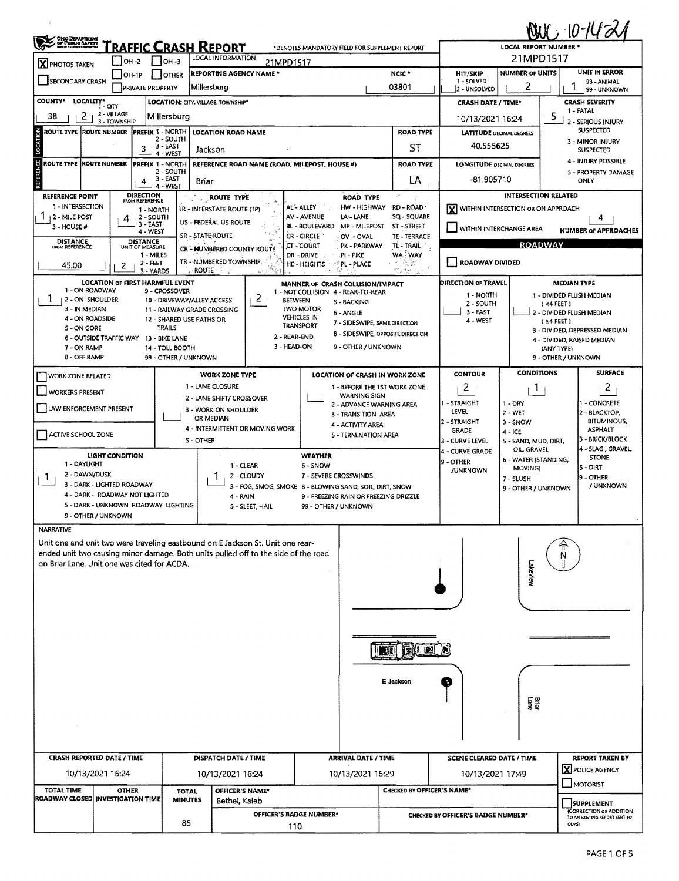| <b>QUC 10-1421</b><br>OHOO DEPARTMENT<br>Fraffic Crash Report<br>*DENOTES MANDATORY FIELD FOR SUPPLEMENT REPORT         |                                                              |                                                         |                                |                                                                                    |                                                                                               |                                               |                                                        |                                                                   |                                                         |                                                   |  |  |  |
|-------------------------------------------------------------------------------------------------------------------------|--------------------------------------------------------------|---------------------------------------------------------|--------------------------------|------------------------------------------------------------------------------------|-----------------------------------------------------------------------------------------------|-----------------------------------------------|--------------------------------------------------------|-------------------------------------------------------------------|---------------------------------------------------------|---------------------------------------------------|--|--|--|
|                                                                                                                         | $ $ OH -2                                                    | $1$ lon- $3$                                            |                                | <b>LOCAL REPORT NUMBER *</b><br>21MPD1517                                          |                                                                                               |                                               |                                                        |                                                                   |                                                         |                                                   |  |  |  |
| <b>X</b> PHOTOS TAKEN<br>$\Box$ OH-1P<br>I OTHER                                                                        |                                                              |                                                         |                                | LOCAL INFORMATION<br>21MPD1517<br><b>REPORTING AGENCY NAME*</b>                    |                                                                                               | NCIC <sup>*</sup>                             | <b>HIT/SKIP</b>                                        | <b>NUMBER OF UNITS</b>                                            |                                                         | UNIT IN ERROR                                     |  |  |  |
| SECONDARY CRASH                                                                                                         | <b>PRIVATE PROPERTY</b>                                      | Millersburg                                             |                                | 03801                                                                              | 1 - SOLVED<br>2 - UNSOLVED                                                                    | 2                                             |                                                        | 98 - ANIMAL<br>1<br>99 - UNKNOWN                                  |                                                         |                                                   |  |  |  |
| <b>COUNTY*</b><br>LOCALITY*                                                                                             | i - CITY                                                     | LOCATION: CITY, VILLAGE, TOWNSHIP*                      |                                |                                                                                    |                                                                                               | <b>CRASH DATE / TIME*</b>                     |                                                        |                                                                   | <b>CRASH SEVERITY</b><br>1 - FATAL                      |                                                   |  |  |  |
| 2<br>38                                                                                                                 | 2 - VILLAGE<br>3 - TOWNSHIP                                  | Millersburg                                             |                                |                                                                                    |                                                                                               |                                               | 5<br>10/13/2021 16:24<br>2 - SERIOUS INJURY            |                                                                   |                                                         |                                                   |  |  |  |
| LOCATION<br><b>ROUTE TYPE</b>                                                                                           | <b>ROUTE NUMBER</b>                                          | PREFIX 1 - NORTH<br>2 - SOUTH                           |                                | <b>LOCATION ROAD NAME</b>                                                          |                                                                                               | <b>ROAD TYPE</b><br>ST                        | <b>LATITUDE DECIMAL DEGREES</b>                        | <b>SUSPECTED</b><br>3 - MINOR INJURY                              |                                                         |                                                   |  |  |  |
|                                                                                                                         |                                                              | , 3 - EAST<br>3<br>4 - WEST                             | Jackson                        |                                                                                    |                                                                                               | 40.555625                                     |                                                        |                                                                   | <b>SUSPECTED</b>                                        |                                                   |  |  |  |
| REFERENCE<br>ROUTE TYPE  ROUTE NUMBER                                                                                   |                                                              | <b>PREFIX 1 - NORTH</b><br>2 - SOUTH                    |                                | REFERENCE ROAD NAME (ROAD, MILEPOST, HOUSE #)                                      |                                                                                               | <b>ROAD TYPE</b>                              | <b>LONGITUDE DECIMAL DEGREES</b>                       |                                                                   |                                                         | <b>4 - INJURY POSSIBLE</b><br>5 - PROPERTY DAMAGE |  |  |  |
|                                                                                                                         |                                                              | $3 - EAST$<br>4<br>4 - WEST                             | Briar                          |                                                                                    | LA                                                                                            | -81.905710                                    |                                                        |                                                                   | ONLY                                                    |                                                   |  |  |  |
| <b>REFERENCE POINT</b><br>1 - INTERSECTION                                                                              | <b>DIRECTION</b><br>FROM REFERENCE                           |                                                         |                                | ROUTE TYPE                                                                         | ROAD TYPE<br>HW - HIGHWAY<br>AL-ALLEY                                                         | RD - ROAD                                     |                                                        | <b>INTERSECTION RELATED</b><br>WITHIN INTERSECTION OR ON APPROACH |                                                         |                                                   |  |  |  |
| 2 - MILE POST                                                                                                           | 4                                                            | 1 - NORTH<br>2 - SOUTH<br>3 - EAST                      |                                | IR - INTERSTATE ROUTE (TP)<br>US - FEDERAL US ROUTE                                | AV - AVENUE<br>LA - LANE                                                                      | SQ - SQUARE                                   | lxl                                                    |                                                                   |                                                         |                                                   |  |  |  |
| 3 - HOUSE #                                                                                                             |                                                              | 4 - WEST                                                | <b>SR - STATE ROUTE</b>        |                                                                                    | <b>BL - BOULEVARD</b><br>MP - MILEPOST<br>CR - CIRCLE<br>- OV - OVAL                          | ST - STREET<br>TE - TERRACE                   | WITHIN INTERCHANGE AREA<br><b>NUMBER OF APPROACHES</b> |                                                                   |                                                         |                                                   |  |  |  |
| <b>DISTANCE</b><br>FROM REFERENCE                                                                                       | <b>DISTANCE</b><br>UNIT OF MEASURE                           | 1 - MILES                                               |                                | CR - NUMBERED COUNTY ROUTE                                                         | CT - COURT<br>PK - PARKWAY<br>dr - Drive<br>.pi - pike                                        | TL - TRAIL<br>WA WAY                          | <b>ROADWAY</b>                                         |                                                                   |                                                         |                                                   |  |  |  |
| 45.00                                                                                                                   | 2                                                            | $2 - FEET$<br>3 - YARDS                                 | ROUTE                          | TR - NUMBERED TOWNSHIP.                                                            | HE - HEIGHTS<br><b>PERLIPLACE</b><br>ski Gr                                                   | - 7<br>$\sigma^2=\frac{1}{2\pi}\sum_{\alpha}$ | ROADWAY DIVIDED                                        |                                                                   |                                                         |                                                   |  |  |  |
|                                                                                                                         | <b>LOCATION OF FIRST HARMFUL EVENT</b>                       |                                                         |                                |                                                                                    | MANNER OF CRASH COLLISION/IMPACT                                                              |                                               | DIRECTION OF TRAVEL                                    |                                                                   |                                                         | <b>MEDIAN TYPE</b>                                |  |  |  |
| 1 - ON ROADWAY<br>Ŧ<br>2 - ON SHOULDER                                                                                  |                                                              | 9 - CROSSOVER<br>10 - DRIVEWAY/ALLEY ACCESS             |                                | 2 <sub>1</sub><br><b>BETWEEN</b>                                                   | 1 - NOT COLLISION 4 - REAR-TO-REAR<br>S - BACKING                                             |                                               | 1 - NORTH<br>2 - SOUTH                                 |                                                                   | $( < 4$ FEET)                                           | 1 - DIVIDED FLUSH MEDIAN                          |  |  |  |
| 3 - IN MEDIAN<br>4 - ON ROADSIDE                                                                                        |                                                              | 11 - RAILWAY GRADE CROSSING<br>12 - SHARED USE PATHS OR |                                |                                                                                    | <b>TWO MOTOR</b><br>6 - ANGLE<br><b>VEHICLES IN</b>                                           |                                               | 3 - EAST<br>4 - WEST                                   |                                                                   | $(24$ FEET)                                             | 2 - DIVIDED FLUSH MEDIAN                          |  |  |  |
| 5 - ON GORE                                                                                                             |                                                              | TRAILS                                                  |                                | 2 - REAR-END                                                                       | 7 - SIDESWIPE, SAME DIRECTION<br><b>TRANSPORT</b><br><b>8 - SIDESWIPE, OPPOSITÉ DIRECTION</b> |                                               |                                                        |                                                                   |                                                         | 3 - DIVIDED, DEPRESSED MEDIAN                     |  |  |  |
| 7 - ON RAMP                                                                                                             | 6 - OUTSIDE TRAFFIC WAY 13 - BIKE LANE                       | 14 - TOLL BOOTH                                         |                                | 3 - HEAD-ON                                                                        | 9 - OTHER / UNKNOWN                                                                           |                                               |                                                        |                                                                   | (ANY TYPE)                                              | 4 - DIVIDED, RAISED MEDIAN                        |  |  |  |
| <b>8 - OFF RAMP</b>                                                                                                     |                                                              | 99 - OTHER / UNKNOWN                                    |                                |                                                                                    |                                                                                               |                                               |                                                        |                                                                   |                                                         | 9 - OTHER / UNKNOWN                               |  |  |  |
| <b>WORK ZONE RELATED</b>                                                                                                |                                                              |                                                         |                                | <b>WORK ZONE TYPE</b>                                                              | LOCATION OF CRASH IN WORK ZONE                                                                |                                               | <b>CONTOUR</b>                                         | <b>CONDITIONS</b>                                                 |                                                         | <b>SURFACE</b>                                    |  |  |  |
| <b>WORKERS PRESENT</b>                                                                                                  |                                                              |                                                         |                                | 1 - LANE CLOSURE<br>2 - LANE SHIFT/ CROSSOVER                                      | 1 - BEFORE THE 1ST WORK ZONE<br><b>WARNING SIGN</b>                                           |                                               | 2                                                      | 1                                                                 |                                                         | $\overline{z}$                                    |  |  |  |
| LAW ENFORCEMENT PRESENT                                                                                                 |                                                              |                                                         |                                | 3 - WORK ON SHOULDER                                                               | 2 - ADVANCE WARNING AREA<br>3 - TRANSITION AREA                                               |                                               | 1 - STRAIGHT<br>LEVEL                                  | $1 - DRY$<br>2 - WET                                              |                                                         | 1 - CONCRETE<br>2 - BLACKTOP,                     |  |  |  |
|                                                                                                                         |                                                              |                                                         |                                | OR MEDIAN<br>4 - INTERMITTENT OR MOVING WORK                                       | 4 - ACTIVITY AREA                                                                             |                                               | 2 - STRAIGHT<br><b>GRADE</b>                           | 3 - SNOW<br>$4 - ICE$                                             |                                                         | <b>BITUMINOUS</b><br><b>ASPHALT</b>               |  |  |  |
| <b>ACTIVE SCHOOL ZONE</b>                                                                                               |                                                              |                                                         | S-OTHER                        |                                                                                    | 5 - TERMINATION AREA                                                                          |                                               | 3 - CURVE LEVEL                                        | 5 - SAND, MUD, DIRT,<br>OIL, GRAVEL                               |                                                         | 3 - BRICK/BLOCK<br>4 - SLAG, GRAVEL               |  |  |  |
| 1 - DAYLIGHT                                                                                                            | <b>LIGHT CONDITION</b>                                       |                                                         |                                | 1 - CLEAR                                                                          | WEATHER<br>6 - SNOW                                                                           |                                               | 4 - CURVE GRADE<br>9 - OTHER                           | 6 - WATER (STANDING,                                              |                                                         | <b>STONE</b>                                      |  |  |  |
| 2 - DAWN/DUSK<br>1                                                                                                      |                                                              |                                                         |                                | 2 - CLOUDY                                                                         | 7 - SEVERE CROSSWINDS                                                                         |                                               | <b>JUNKNOWN</b>                                        | MOVING)<br>7 - SLUSH                                              |                                                         | 5 - DIRT<br>l9 - OTHER                            |  |  |  |
|                                                                                                                         | 3 - DARK - LIGHTED ROADWAY<br>4 - DARK - ROADWAY NOT LIGHTED |                                                         |                                | 4 - RAIN                                                                           | 3 - FOG, SMOG, SMOKE B - BLOWING SAND, SOIL, DIRT, SNOW                                       |                                               |                                                        | 9 - OTHER / UNKNOWN                                               |                                                         | / UNKNOWN                                         |  |  |  |
| 9 - FREEZING RAIN OR FREEZING DRIZZLE<br>5 - DARK - UNKNOWN ROADWAY LIGHTING<br>5 - SLEET, HAIL<br>99 - OTHER / UNKNOWN |                                                              |                                                         |                                |                                                                                    |                                                                                               |                                               |                                                        |                                                                   |                                                         |                                                   |  |  |  |
| <b>NARRATIVE</b>                                                                                                        | 9 - OTHER / UNKNOWN                                          |                                                         |                                |                                                                                    |                                                                                               |                                               |                                                        |                                                                   |                                                         |                                                   |  |  |  |
|                                                                                                                         |                                                              |                                                         |                                | Unit one and unit two were traveling eastbound on E Jackson St. Unit one rear-     |                                                                                               |                                               |                                                        |                                                                   |                                                         |                                                   |  |  |  |
|                                                                                                                         |                                                              |                                                         |                                | ended unit two causing minor damage. Both units pulled off to the side of the road |                                                                                               |                                               |                                                        |                                                                   |                                                         |                                                   |  |  |  |
| on Briar Lane. Unit one was cited for ACDA.                                                                             |                                                              |                                                         |                                |                                                                                    |                                                                                               |                                               |                                                        | Lakeview                                                          |                                                         |                                                   |  |  |  |
|                                                                                                                         |                                                              |                                                         |                                |                                                                                    |                                                                                               |                                               |                                                        |                                                                   |                                                         |                                                   |  |  |  |
|                                                                                                                         |                                                              |                                                         |                                |                                                                                    |                                                                                               |                                               |                                                        |                                                                   |                                                         |                                                   |  |  |  |
|                                                                                                                         |                                                              |                                                         |                                |                                                                                    |                                                                                               |                                               |                                                        |                                                                   |                                                         |                                                   |  |  |  |
|                                                                                                                         |                                                              |                                                         |                                |                                                                                    |                                                                                               |                                               |                                                        |                                                                   |                                                         |                                                   |  |  |  |
|                                                                                                                         |                                                              |                                                         |                                |                                                                                    |                                                                                               |                                               |                                                        |                                                                   |                                                         |                                                   |  |  |  |
|                                                                                                                         |                                                              |                                                         |                                |                                                                                    |                                                                                               |                                               |                                                        |                                                                   |                                                         |                                                   |  |  |  |
|                                                                                                                         |                                                              |                                                         |                                |                                                                                    |                                                                                               | E Jackson                                     |                                                        |                                                                   |                                                         |                                                   |  |  |  |
|                                                                                                                         |                                                              |                                                         |                                |                                                                                    |                                                                                               |                                               |                                                        | Briar<br>Lane                                                     |                                                         |                                                   |  |  |  |
|                                                                                                                         |                                                              |                                                         |                                |                                                                                    |                                                                                               |                                               |                                                        |                                                                   |                                                         |                                                   |  |  |  |
|                                                                                                                         |                                                              |                                                         |                                |                                                                                    |                                                                                               |                                               |                                                        |                                                                   |                                                         |                                                   |  |  |  |
|                                                                                                                         |                                                              |                                                         |                                |                                                                                    |                                                                                               |                                               |                                                        |                                                                   |                                                         |                                                   |  |  |  |
|                                                                                                                         | <b>CRASH REPORTED DATE / TIME</b>                            |                                                         |                                | <b>DISPATCH DATE / TIME</b>                                                        | <b>ARRIVAL DATE / TIME</b>                                                                    |                                               | <b>SCENE CLEARED DATE / TIME</b>                       |                                                                   |                                                         | <b>REPORT TAKEN BY</b><br>X POLICE AGENCY         |  |  |  |
|                                                                                                                         | 10/13/2021 16:24                                             |                                                         |                                | 10/13/2021 16:24                                                                   | 10/13/2021 16:29                                                                              |                                               | 10/13/2021 17:49                                       |                                                                   |                                                         | MOTORIST                                          |  |  |  |
| <b>TOTAL TIME</b><br>ROADWAY CLOSED  INVESTIGATION TIME                                                                 | <b>OTHER</b>                                                 |                                                         | <b>TOTAL</b><br><b>MINUTES</b> | <b>OFFICER'S NAME*</b><br>Bethel, Kaleb                                            |                                                                                               | CHECKED BY OFFICER'S NAME*                    |                                                        | <b>SUPPLEMENT</b>                                                 |                                                         |                                                   |  |  |  |
|                                                                                                                         |                                                              |                                                         |                                | OFFICER'S BADGE NUMBER*                                                            |                                                                                               |                                               | CHECKED BY OFFICER'S BADGE NUMBER*                     |                                                                   | CORRECTION OR ADDITION<br>TO AN EXISTING REPORT SENT TO |                                                   |  |  |  |
| 85<br>110                                                                                                               |                                                              |                                                         |                                |                                                                                    |                                                                                               |                                               | ODPS)                                                  |                                                                   |                                                         |                                                   |  |  |  |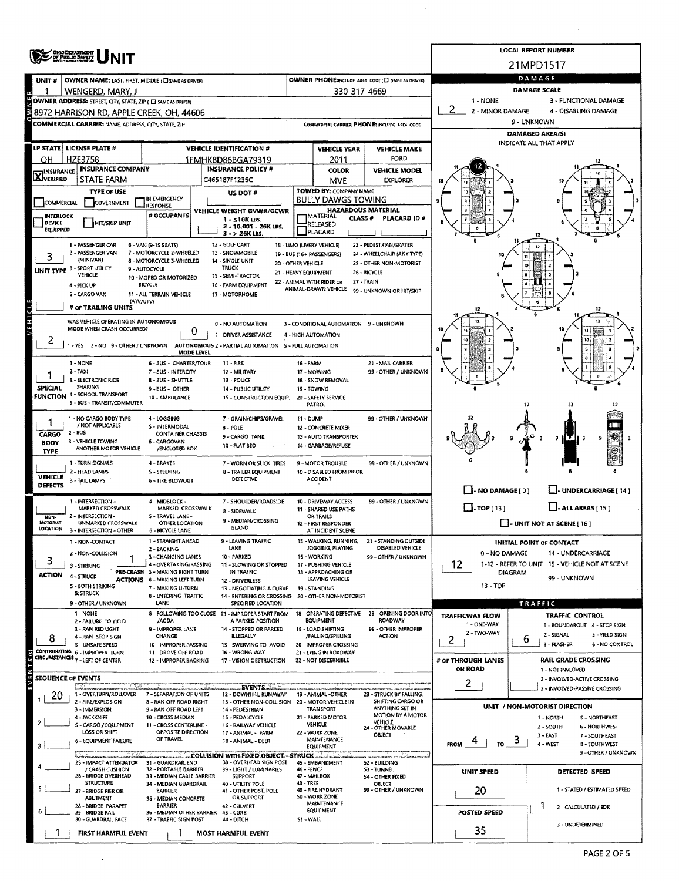|                                                                                                                            |                                                                                                                              |                                                                        | <b>LOCAL REPORT NUMBER</b>                                                 |                                             |                                                            |                                                      |                                                 |                                                                    |  |  |  |  |  |
|----------------------------------------------------------------------------------------------------------------------------|------------------------------------------------------------------------------------------------------------------------------|------------------------------------------------------------------------|----------------------------------------------------------------------------|---------------------------------------------|------------------------------------------------------------|------------------------------------------------------|-------------------------------------------------|--------------------------------------------------------------------|--|--|--|--|--|
|                                                                                                                            | <b>CHOO DEPARTMENT</b><br>OF PURLIC BAFETY                                                                                   |                                                                        |                                                                            |                                             |                                                            |                                                      |                                                 | 21MPD1517                                                          |  |  |  |  |  |
| <b>UNIT#</b>                                                                                                               | OWNER NAME: LAST, FIRST, MIDDLE (C) SAME AS DRIVER)                                                                          |                                                                        | DAMAGE                                                                     |                                             |                                                            |                                                      |                                                 |                                                                    |  |  |  |  |  |
|                                                                                                                            | WENGERD, MARY, J                                                                                                             |                                                                        |                                                                            |                                             | 330-317-4669                                               | OWNER PHONE:INCLUDE AREA CODE (E) SAME AS DRIVERY    | DAMAGE SCALE                                    |                                                                    |  |  |  |  |  |
| OWNER ADDRESS: STREET, CITY, STATE, ZIP ( C SAME AS DRIVER)<br>1 - NONE<br>3 - FUNCTIONAL DAMAGE<br>2.<br>2 - MINOR DAMAGE |                                                                                                                              |                                                                        |                                                                            |                                             |                                                            |                                                      |                                                 |                                                                    |  |  |  |  |  |
|                                                                                                                            | 8972 HARRISON RD, APPLE CREEK, OH, 44606                                                                                     |                                                                        |                                                                            |                                             |                                                            |                                                      | 4 - DISABLING DAMAGE                            |                                                                    |  |  |  |  |  |
|                                                                                                                            | <b>COMMERCIAL CARRIER: NAME ADDRESS, CITY, STATE ZIP</b>                                                                     |                                                                        |                                                                            | COMMERCIAL CARRIER PHONE: INCLUDE AREA CODE |                                                            |                                                      | 9 - UNKNOWN<br>DAMAGED AREA(S)                  |                                                                    |  |  |  |  |  |
|                                                                                                                            | LP STATE   LICENSE PLATE #                                                                                                   |                                                                        | <b>VEHICLE IDENTIFICATION #</b>                                            | <b>VEHICLE YEAR</b><br><b>VEHICLE MAKE</b>  |                                                            |                                                      |                                                 | INDICATE ALL THAT APPLY                                            |  |  |  |  |  |
| ΟН                                                                                                                         | <b>HZE3758</b>                                                                                                               |                                                                        | 1FMHK8D86BGA79319                                                          |                                             | 2011                                                       | FORD                                                 |                                                 |                                                                    |  |  |  |  |  |
| <b>X</b> INSURANCE                                                                                                         | <b>INSURANCE COMPANY</b>                                                                                                     |                                                                        | <b>INSURANCE POLICY #</b>                                                  |                                             | <b>COLOR</b>                                               | <b>VEHICLE MODEL</b>                                 |                                                 |                                                                    |  |  |  |  |  |
|                                                                                                                            | STATE FARM                                                                                                                   |                                                                        | C465187F1235C                                                              |                                             | <b>MVE</b>                                                 | <b>EXPLORER</b>                                      |                                                 |                                                                    |  |  |  |  |  |
| COMMERCIAL                                                                                                                 | <b>TYPE OF USE</b><br>GOVERNMENT                                                                                             | IN EMERGENCY                                                           | US DOT #                                                                   |                                             | TOWED BY: COMPANY NAME<br><b>BULLY DAWGS TOWING</b>        |                                                      |                                                 |                                                                    |  |  |  |  |  |
| <b>INTERLOCK</b>                                                                                                           |                                                                                                                              | <b>RESPONSE</b><br># OCCUPANTS                                         | VEHICLE WEIGHT GVWR/GCWR                                                   |                                             | <b>HAZARDOUS MATERIAL</b><br><b>IMATERIAL</b>              |                                                      |                                                 |                                                                    |  |  |  |  |  |
| DEVICE<br>'EQUIPPED                                                                                                        | <b>HIT/SKIP UNIT</b>                                                                                                         |                                                                        | $1 - 510K$ LBS.<br>2 - 10.001 - 26K LBS,                                   |                                             | <b>CLASS #</b><br>RELEASED                                 | PLACARD ID #                                         |                                                 |                                                                    |  |  |  |  |  |
|                                                                                                                            | 1 - PASSENGER CAR                                                                                                            | 6 - VAN (9-15 SEATS)                                                   | 3 - > 26K LBS.<br>12 - GOLF CART                                           |                                             | PLACARD<br>18 - LIMO (LIVERY VEHICLE)                      | 23 - PEDESTRIAN/SKATER                               |                                                 |                                                                    |  |  |  |  |  |
|                                                                                                                            | 2 - PASSENGER VAN                                                                                                            | 7 - MOTORCYCLE 2-WHEELED                                               | 13 - SNOWMOBILE                                                            |                                             | 19 - BUS (16+ PASSENGERS)                                  | 24 - WHEELCHAIR (ANY TYPE)                           |                                                 |                                                                    |  |  |  |  |  |
|                                                                                                                            | (MINIVAN)<br>UNIT TYPE 3 - SPORT UTILITY                                                                                     | 8 - MOTORCYCLE 3-WHEELED<br>9 - AUTOCYCLE                              | 14 - SINGLE UNIT<br>TRUCK                                                  | 20 - OTHER VEHICLE                          |                                                            | 25 - OTHER NON-MOTORIST<br>26 - BICYCLE              |                                                 |                                                                    |  |  |  |  |  |
|                                                                                                                            | VEHICLE<br>4 - PICK UP                                                                                                       | 10 - MOPED OR MOTORIZED<br><b>BICYCLE</b>                              | 15 - SEMI-TRACTOR<br>16 - FARM EQUIPMENT                                   | 21 - HEAVY EQUIPMENT                        | 22 - ANIMAL WITH RIDER OR                                  | 27 - TRAIN                                           |                                                 |                                                                    |  |  |  |  |  |
|                                                                                                                            | S - CARGO VAN                                                                                                                | 11 - ALL TERRAIN VEHICLE                                               | 17 - MOTORHOME                                                             |                                             | ANIMAL-DRAWN VEHICLE                                       | 99 - UNKNOWN OR HIT/SKIP                             |                                                 |                                                                    |  |  |  |  |  |
| ູ່ບ່                                                                                                                       | (ATV/UTV)<br># or TRAILING UNITS                                                                                             |                                                                        |                                                                            |                                             |                                                            |                                                      |                                                 | 12                                                                 |  |  |  |  |  |
| <b>IH3A</b>                                                                                                                | WAS VEHICLE OPERATING IN AUTONOMOUS                                                                                          |                                                                        | 0 - NO AUTOMATION                                                          |                                             | 3 - CONDITIONAL AUTOMATION 9 - UNKNOWN                     |                                                      | 12                                              | 12                                                                 |  |  |  |  |  |
|                                                                                                                            | MODE WHEN CRASH OCCURRED?                                                                                                    |                                                                        | 0<br>1 - DRIVER ASSISTANCE                                                 |                                             | 4 - HIGH AUTOMATION                                        |                                                      |                                                 |                                                                    |  |  |  |  |  |
| 2                                                                                                                          | 1 - YES 2 - NO 9 - OTHER / UNKNOWN                                                                                           |                                                                        | AUTONOMOUS 2 - PARTIAL AUTOMATION S - FULL AUTOMATION<br><b>MODE LEVEL</b> |                                             |                                                            |                                                      |                                                 | t0                                                                 |  |  |  |  |  |
|                                                                                                                            | 1 - NONE                                                                                                                     | 6 - BUS - CHARTER/TOUR                                                 | <b>11 - FIRE</b>                                                           | 16 - FARM                                   |                                                            | 21 - MAIL CARRIER                                    |                                                 |                                                                    |  |  |  |  |  |
|                                                                                                                            | $2 - TAXI$                                                                                                                   | 7 - 8US - INTERCITY                                                    | 12 - MILITARY                                                              |                                             | 17 - MOWING                                                | 99 - OTHER / UNKNOWN                                 |                                                 |                                                                    |  |  |  |  |  |
| <b>SPECIAL</b>                                                                                                             | 3 - ELECTRONIC RIDE<br><b>SHARING</b>                                                                                        | 8 - 8US - SHUTTLE<br>9 - BUS - OTHER                                   | 13 - POLICE<br>14 - PUBLIC UTILITY                                         |                                             | 18 - SNOW REMOVAL<br>19 - TOWING                           |                                                      |                                                 |                                                                    |  |  |  |  |  |
|                                                                                                                            | <b>FUNCTION 4 - SCHOOL TRANSPORT</b><br>S - BUS - TRANSIT/COMMUTER                                                           | 10 - AMBULANCE                                                         | 15 - CONSTRUCTION EQUIP.                                                   |                                             | 20 - SAFETY SERVICE<br>PATROL                              |                                                      |                                                 |                                                                    |  |  |  |  |  |
|                                                                                                                            | 1 - NO CARGO BODY TYPE                                                                                                       | 4 - LOGGING                                                            | 7 - GRAIN/CHIPS/GRAVEL                                                     | 11 - DUMP                                   |                                                            | 99 - OTHER / UNKNOWN                                 |                                                 |                                                                    |  |  |  |  |  |
| / NOT APPLICABLE<br>S - INTERMODAL<br>8 - POLE                                                                             |                                                                                                                              |                                                                        |                                                                            |                                             | 12 - CONCRETE MIXER                                        |                                                      |                                                 |                                                                    |  |  |  |  |  |
| CARGO<br><b>BODY</b>                                                                                                       | 2 - BUS<br>3 - VEHICLE TOWING                                                                                                | <b>CONTAINER CHASSIS</b><br>6 - CARGOVAN                               | 9 - CARGO TANK                                                             |                                             | 13 - AUTO TRANSPORTER<br>14 - GARBAGE/REFUSE               |                                                      |                                                 | 恭<br>Œ<br>91                                                       |  |  |  |  |  |
| <b>TYPE</b>                                                                                                                | ANOTHER MOTOR VEHICLE                                                                                                        | /ENCLOSED BOX                                                          | <b>10 - FLAT BED</b>                                                       |                                             |                                                            |                                                      |                                                 |                                                                    |  |  |  |  |  |
|                                                                                                                            | 1 - TURN SIGNALS<br>2 - HEAD LAMPS                                                                                           | 4 - BRAKES<br>S - STEERING                                             | 7 - WORN OR SLICK TIRES<br><b>8 - TRAILER EQUIPMENT</b>                    |                                             | 9 - MOTOR TROUBLE<br>10 - DISABLED FROM PRIOR              | 99 - OTHER / UNKNOWN                                 |                                                 |                                                                    |  |  |  |  |  |
| <b>VEHICLE</b><br><b>DEFECTS</b>                                                                                           | 3 - TAIL LAMPS                                                                                                               | <b>6 - TIRE BLOWOUT</b>                                                | DEFECTIVE                                                                  |                                             | <b>ACCIDENT</b>                                            |                                                      |                                                 |                                                                    |  |  |  |  |  |
|                                                                                                                            |                                                                                                                              |                                                                        |                                                                            |                                             |                                                            |                                                      | $\Box$ - NO DAMAGE [ 0 ]                        | L. UNDERCARRIAGE [ 14 ]                                            |  |  |  |  |  |
|                                                                                                                            | 1 - INTERSECTION -<br>4 - MIDBLOCK -<br>7 - SHOULDER/ROADSIDE<br>MARKED CROSSWALK<br>MARKED CROSSWALK<br><b>8 - SIDEWALK</b> |                                                                        |                                                                            |                                             | 10 - DRIVEWAY ACCESS<br>11 - SHARED USE PATHS<br>OR TRAILS | 99 - OTHER / UNKNOWN                                 | $\Box$ -TOP [ 13 ]<br>$\Box$ - ALL AREAS [ 15 ] |                                                                    |  |  |  |  |  |
| NON-<br><b>MOTORIST</b>                                                                                                    | 2 - INTERSECTION -<br><b>UNMARKED CROSSWALK</b>                                                                              | 5 - TRAVEL LANE -<br>9 - MEDIAN/CROSSING<br><b>OTHER LOCATION</b>      |                                                                            |                                             |                                                            |                                                      | I - UNIT NOT AT SCENE [ 16 ]                    |                                                                    |  |  |  |  |  |
| LOCATION                                                                                                                   | 3 - INTERSECTION - OTHER                                                                                                     | <b>6 - BICYCLE LANE</b>                                                | <b>ISLAND</b>                                                              |                                             | AT INCIDENT SCENE                                          |                                                      |                                                 |                                                                    |  |  |  |  |  |
|                                                                                                                            | 1 - NON-CONTACT<br>2 - NON-COLLISION                                                                                         | 1 - STRAIGHT AHEAD<br>2 - BACKING                                      | LEAVING TRAFFIC<br>LANE                                                    |                                             | 15 - WALKING, RUNNING,<br>JOGGING, PLAYING                 | <b>21 - STANDING OUTSIDE</b><br>DISABLED VEHICLE     | 0 - NO DAMAGE                                   | <b>INITIAL POINT OF CONTACT</b><br>14 - UNDERCARRIAGE              |  |  |  |  |  |
| 3                                                                                                                          | 3 - STRIKING                                                                                                                 | 3 - CHANGING LANES<br>4 - OVERTAKING/PASSING                           | 10 - PARKED<br>11 - SLOWING OR STOPPED                                     |                                             | 16 - WORKING<br>17 - PUSHING VEHICLE                       | 99 - OTHER / UNKNOWN                                 | 12.                                             | 1-12 - REFER TO UNIT 15 - VEHICLE NOT AT SCENE                     |  |  |  |  |  |
| <b>ACTION</b>                                                                                                              | 4 - STRUCK                                                                                                                   | PRE-CRASH 5 - MAKING RIGHT TURN<br><b>ACTIONS 6 - MAKING LEFT TURN</b> | IN TRAFFIC                                                                 |                                             | 18 - APPROACHING OR<br>LEAVING VEHICLE                     |                                                      | <b>DIAGRAM</b><br>99 - UNKNOWN                  |                                                                    |  |  |  |  |  |
|                                                                                                                            | 5 - BOTH STRIKING                                                                                                            | 7 - MAKING U-TURN                                                      | 12 - DRIVERLESS<br>13 - NEGOTIATING A CURVE                                |                                             | 19 - STANDING                                              |                                                      | $13 - TOP$                                      |                                                                    |  |  |  |  |  |
|                                                                                                                            | & STRUCK<br>9 - OTHER / UNKNOWN                                                                                              | 8 - ENTERING TRAFFIC<br>LANE                                           | 14 - ENTERING OR CROSSING 20 - OTHER NON-MOTORIST<br>SPECIFIED LOCATION    |                                             |                                                            |                                                      |                                                 | TRAFFIC                                                            |  |  |  |  |  |
|                                                                                                                            | 1 - NONE                                                                                                                     |                                                                        | 8 - FOLLOWING TOO CLOSE 13 - IMPROPER START FROM                           |                                             | 18 - OPERATING DEFECTIVE<br><b>EQUIPMENT</b>               | 23 - OPENING DOOR INTO<br><b>ROADWAY</b>             | <b>TRAFFICWAY FLOW</b>                          | <b>TRAFFIC CONTROL</b>                                             |  |  |  |  |  |
|                                                                                                                            | 2 - FAILURE TO YIELD<br>3 - RAN RED UGHT                                                                                     | /ACDA<br>9 - IMPROPER LANE                                             | A PARKED POSITION<br>14 - STOPPED OR PARKED                                |                                             | 19 - LOAD SHIFTING                                         | 99 - OTHER IMPROPER                                  | 1 - ONE-WAY<br>2 - TWO WAY                      | 1 - ROUNDABOUT 4 - STOP SIGN                                       |  |  |  |  |  |
| 8                                                                                                                          | 4 - RAN STOP SIGN<br><b>S - UNSAFE SPEED</b>                                                                                 | CHANGE<br>10 - IMPROPER PASSING                                        | <b>ILLEGALLY</b><br>1S - SWERVING TO AVOID                                 |                                             | /FALLING/SPILLING<br>20 - IMPROPER CROSSING                | <b>ACTION</b>                                        | 2                                               | 2 - SIGNAL<br>5 - YIELD SIGN<br>b<br>3 - FLASHER<br>6 - NO CONTROL |  |  |  |  |  |
|                                                                                                                            | CONTRIBUTING 6 - IMPROPER TURN<br>CIRCUMSTANCES 7 - LEFT OF CENTER                                                           | 11 - DROVE OFF ROAD<br>12 - IMPROPER BACKING                           | 16 - WRONG WAY<br>17 - VISION OBSTRUCTION                                  |                                             | 21 - LYING IN ROADWAY<br>22 - NOT DISCERNIBLE              |                                                      | # OF THROUGH LANES                              | <b>RAIL GRADE CROSSING</b>                                         |  |  |  |  |  |
|                                                                                                                            |                                                                                                                              |                                                                        |                                                                            |                                             |                                                            |                                                      | ON ROAD                                         | 1 - NOT INVLOVED                                                   |  |  |  |  |  |
|                                                                                                                            | SEOUENCE OF EVENTS                                                                                                           |                                                                        | <b>EVENTS</b>                                                              |                                             |                                                            |                                                      | 2                                               | 2 - INVOLVED-ACTIVE CROSSING                                       |  |  |  |  |  |
| 20                                                                                                                         | 1 - OVERTURN/ROLLOVER                                                                                                        | 7 - SEPARATION OF UNITS                                                | 12 - DOWNHILL RUNAWAY                                                      |                                             | 19 - ANIMAL -OTHER                                         | 23 - STRUCK BY FALLING,                              |                                                 | 3 - INVOLVED-PASSIVE CROSSING                                      |  |  |  |  |  |
|                                                                                                                            | 2 - FIRE/EXPLOSION<br>3 - IMMERSION                                                                                          | 8 - RAN OFF ROAD RIGHT<br>9 - RAN OFF ROAD LEFT                        | 13 - OTHER NON-COLLISION 20 - MOTOR VEHICLE IN<br>14 - PEDESTRIAN          |                                             | <b>TRANSPORT</b>                                           | SHIFTING CARGO OR<br>ANYTHING SET IN                 |                                                 | UNIT / NON-MOTORIST DIRECTION                                      |  |  |  |  |  |
|                                                                                                                            | 4 - JACKKNIFE<br>S - CARGO / EQUIPMENT                                                                                       | 10 - CROSS MEDIAN<br>11 - CROSS CENTERLINE -                           | 15 - PEDALCYCLE<br><b>16 - RAILWAY VEHICLE</b>                             |                                             | 21 - PARKED MOTOR<br><b>AEHICLE</b>                        | MOTION BY A MOTOR<br>VEHICLE                         |                                                 | 1 - NORTH<br>S - NORTHEAST<br>6 - NORTHWEST<br>2 - SOUTH           |  |  |  |  |  |
|                                                                                                                            | LOSS OR SHIFT                                                                                                                | OPPOSITE DIRECTION<br>OF TRAVEL                                        | 17 - ANIMAL - FARM                                                         |                                             | 22 - WORK ZONE                                             | 24 - OTHER MOVABLE<br>OBJECT                         |                                                 | $3 -$ EAST<br>7 - SOUTHEAST                                        |  |  |  |  |  |
|                                                                                                                            | <b>6 - EQUIPMENT FAILURE</b>                                                                                                 |                                                                        | 18 - ANIMAL - DEER                                                         |                                             | MAINTENANCE<br>EQUIPMENT                                   |                                                      | <b>FROM</b><br>m                                | -3<br>4 - WEST<br><b>8 - SOUTHWEST</b><br>9 - OTHER / UNKNOWN      |  |  |  |  |  |
|                                                                                                                            | 25 - IMPACT ATTENUATOR                                                                                                       | 31 - GUARDRAIL END                                                     | COLLISION WITH FIXED OBJECT. - STRUCK<br>38 - OVERHEAD SIGN POST           |                                             | 45 - EMBANKMENT                                            | <b>num corrindiamicamica</b><br><b>S2 - BUILDING</b> |                                                 |                                                                    |  |  |  |  |  |
|                                                                                                                            | / CRASH CUSHION<br>26 - BRIDGE OVERHEAD                                                                                      | 32 - PORTABLE BARRIER<br>33 - MEDIAN CABLE BARRIER                     | 39 - LIGHT / LUMINARIES<br><b>SUPPORT</b>                                  | 46 - FENCE                                  | 47 - MAILBOX                                               | 53 - TUNNEL<br>54 - OTHER FIXED                      | UNIT SPEED                                      | DETECTED SPEED                                                     |  |  |  |  |  |
|                                                                                                                            | <b>STRUCTURE</b><br>27 - BRIDGE PIER OR                                                                                      | 34 - MEDIAN GUARDRAIL<br><b>BARRIER</b>                                | 40 - UTILITY POLE<br>41 - OTHER POST, POLE                                 | 48 - TREE                                   | 49 - FIRE HYDRANT                                          | <b>OBJECT</b><br>99 - OTHER / UNKNOWN                | 20                                              | 1 - STATED / ESTIMATED SPEED                                       |  |  |  |  |  |
|                                                                                                                            | ABUTMENT                                                                                                                     | 35 - MEDIAN CONCRETE                                                   | OR SUPPORT                                                                 |                                             | 50 - WORK ZONE<br>MAINTENANCE                              |                                                      |                                                 |                                                                    |  |  |  |  |  |
|                                                                                                                            | 28 - BRIDGE PARAPET<br>29 - BRIDGE RAIL                                                                                      | <b>BARRIER</b>                                                         | 42 - CULVERT<br>36 - MEDIAN OTHER BARRIER 43 - CURB<br>44 - DITCH          | S1 - WALL                                   | <b>EQUIPMENT</b>                                           |                                                      | POSTED SPEED                                    | 2 - CALCULATED / EDR                                               |  |  |  |  |  |
|                                                                                                                            | 30 - GUARDRAIL FACE                                                                                                          | 37 - TRAFFIC SIGN POST                                                 |                                                                            |                                             | 3 - UNDETERMINED                                           |                                                      |                                                 |                                                                    |  |  |  |  |  |
|                                                                                                                            | FIRST HARMFUL EVENT                                                                                                          |                                                                        | <b>MOST HARMFUL EVENT</b>                                                  |                                             |                                                            |                                                      | 35                                              |                                                                    |  |  |  |  |  |

 $\sim 10^{-1}$ 

 $\sim$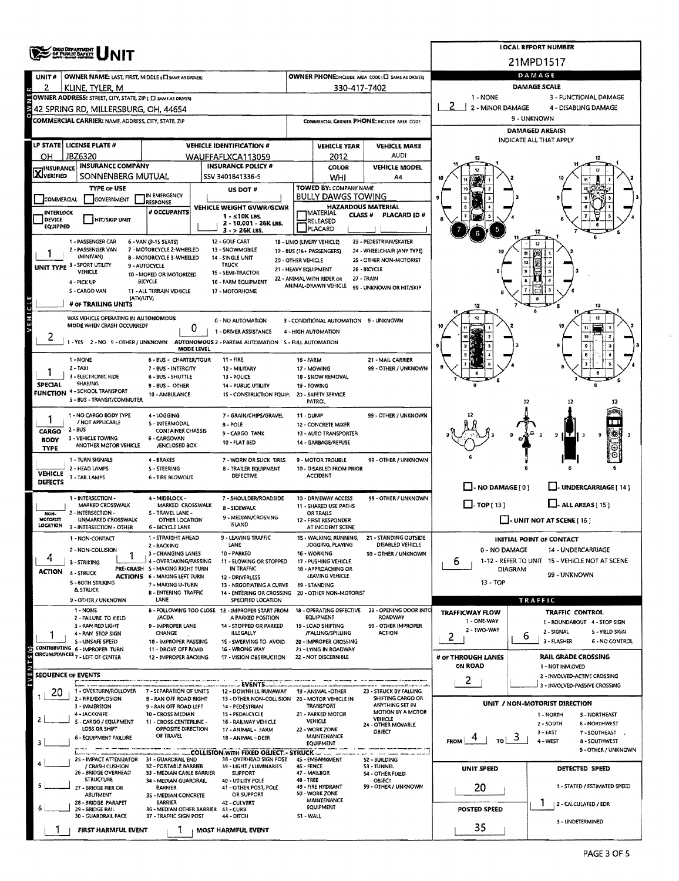|                                                                                                                                                                                                   | <b>OHOO DEPARTMENT</b>                                           |                                                             | <b>LOCAL REPORT NUMBER</b>                                                               |                                            |                                                         |                                          |                                              |                                                                |  |  |  |  |  |
|---------------------------------------------------------------------------------------------------------------------------------------------------------------------------------------------------|------------------------------------------------------------------|-------------------------------------------------------------|------------------------------------------------------------------------------------------|--------------------------------------------|---------------------------------------------------------|------------------------------------------|----------------------------------------------|----------------------------------------------------------------|--|--|--|--|--|
|                                                                                                                                                                                                   |                                                                  |                                                             | 21MPD1517                                                                                |                                            |                                                         |                                          |                                              |                                                                |  |  |  |  |  |
| UNIT#                                                                                                                                                                                             | <b>OWNER NAME: LAST, FIRST, MIDDLE (EI SAME AS DRIVER)</b>       |                                                             | DAMAGE                                                                                   |                                            |                                                         |                                          |                                              |                                                                |  |  |  |  |  |
|                                                                                                                                                                                                   | KLINE, TYLER, M                                                  |                                                             | 330-417-7402                                                                             | DAMAGE SCALE                               |                                                         |                                          |                                              |                                                                |  |  |  |  |  |
| <b>COWNER ADDRESS:</b> STREET, CITY, STATE, ZIP ( C SAME AS DRIVER)<br>1 - NONE<br>3 - FUNCTIONAL DAMAGE<br>2<br>2 - MINOR DAMAGE<br>4 - DISABLING DAMAGE<br>42 SPRING RD, MILLERSBURG, OH. 44654 |                                                                  |                                                             |                                                                                          |                                            |                                                         |                                          |                                              |                                                                |  |  |  |  |  |
|                                                                                                                                                                                                   | <b>COMMERCIAL CARRIER: NAME ADDRESS, CITY, STATE, ZIP</b>        |                                                             | COMMERCIAL CARRIER PHONE; INCLUDE AREA CODE                                              | 9 - UNKNOWN                                |                                                         |                                          |                                              |                                                                |  |  |  |  |  |
|                                                                                                                                                                                                   |                                                                  |                                                             |                                                                                          | <b>DAMAGED AREA(S)</b>                     |                                                         |                                          |                                              |                                                                |  |  |  |  |  |
|                                                                                                                                                                                                   | LP STATE LICENSE PLATE #                                         |                                                             | <b>VEHICLE IDENTIFICATION #</b>                                                          |                                            | <b>VEHICLE YEAR</b>                                     | <b>VEHICLE MAKE</b>                      | INDICATE ALL THAT APPLY                      |                                                                |  |  |  |  |  |
| он                                                                                                                                                                                                | JBZ6320                                                          |                                                             | WAUFFAFLXCA113059                                                                        |                                            | 2012                                                    | <b>AUDI</b>                              |                                              |                                                                |  |  |  |  |  |
| <b>X</b> INSURANCE                                                                                                                                                                                | <b>INSURANCE COMPANY</b><br>SONNENBERG MUTUAL                    |                                                             | <b>INSURANCE POLICY #</b><br>SSV 3401841336-5                                            |                                            | COLOR                                                   | <b>VEHICLE MODEL</b>                     |                                              |                                                                |  |  |  |  |  |
|                                                                                                                                                                                                   | <b>TYPE OF USE</b>                                               |                                                             | US DOT #                                                                                 |                                            | <b>WHI</b><br><b>TOWED BY: COMPANY NAME</b>             | A4                                       |                                              |                                                                |  |  |  |  |  |
| COMMERCIAL                                                                                                                                                                                        | <b>GOVERNMENT</b>                                                | IN EMERGENCY<br><b>RESPONSE</b>                             |                                                                                          |                                            | <b>BULLY DAWGS TOWING</b>                               |                                          |                                              |                                                                |  |  |  |  |  |
| INTERLOCK                                                                                                                                                                                         |                                                                  | # OCCUPANTS                                                 | VEHICLE WEIGHT GVWR/GCWR<br>$1 - 510K$ LBS.                                              |                                            | <b>HAZARDOUS MATERIAL</b><br><b>IMATERIAL</b><br>CLASS# | PLACARD ID#                              |                                              |                                                                |  |  |  |  |  |
| <b>DEVICE</b><br>EQUIPPED                                                                                                                                                                         | <b>HIT/SKIP UNIT</b>                                             |                                                             | 2 - 10.001 - 26K LBS.<br>- > 26K LBS.<br>з                                               |                                            | RELEASED<br>PLACARD                                     |                                          |                                              |                                                                |  |  |  |  |  |
|                                                                                                                                                                                                   | 1 - PASSENGER CAR                                                | 6 - VAN (9-15 SEATS)                                        | 12 - GOLF CART                                                                           |                                            | 18 - LIMO (LIVERY VEHICLE)                              | 23 - PEDESTRIAN/SKATER                   |                                              |                                                                |  |  |  |  |  |
|                                                                                                                                                                                                   | 2 - PASSENGER VAN<br>(MINIVAN)                                   | 7 - MOTORCYCLE 2-WHEELED<br><b>B - MOTORCYCLE 3-WHEELED</b> | 13 - SNOWMOBILE<br>14 - SINGLE UNIT                                                      |                                            | 19 - BUS (16+ PASSENGERS)                               | 24 - WHEELCHAIR (ANY TYPE)               |                                              |                                                                |  |  |  |  |  |
|                                                                                                                                                                                                   | UNIT TYPE 3 - SPORT UTILITY<br><b>VEHICLE</b>                    | 9 - AUTOCYCLE                                               | <b>TRUCK</b><br><b>15 - SEMI-TRACTOR</b>                                                 | 20 - OTHER VEHICLE<br>21 - HEAVY EQUIPMENT |                                                         | 25 - OTHER NON-MOTORIST<br>26 - BICYCLE  |                                              |                                                                |  |  |  |  |  |
|                                                                                                                                                                                                   | 4 - PICK UP                                                      | 10 - MOPED OR MOTORIZED<br>BICYCLE                          | 16 - FARM EQUIPMENT                                                                      |                                            | 22 - ANIMAL WITH RIDER OR<br>ANIMAL-DRAWN VEHICLE       | 27 - TRAIN                               |                                              |                                                                |  |  |  |  |  |
|                                                                                                                                                                                                   | <b>S-CARGO VAN</b><br>(ATV/UTV)                                  | 11 - ALL TERRAIN VEHICLE                                    | 17 - MOTORHOME                                                                           |                                            |                                                         | 99 - UNKNOWN OR HIT/SKIP                 |                                              |                                                                |  |  |  |  |  |
|                                                                                                                                                                                                   | # OF TRAILING UNITS                                              |                                                             |                                                                                          |                                            |                                                         |                                          |                                              |                                                                |  |  |  |  |  |
| VEHICL                                                                                                                                                                                            | WAS VEHICLE OPERATING IN AUTONOMOUS<br>MODE WHEN CRASH OCCURRED? |                                                             | 0 - NO AUTOMATION                                                                        |                                            | 3 - CONDITIONAL AUTOMATION 9 - UNKNOWN                  |                                          |                                              |                                                                |  |  |  |  |  |
| 2                                                                                                                                                                                                 |                                                                  | 0                                                           | 1 - DRIVER ASSISTANCE                                                                    |                                            | 4 - HIGH AUTOMATION                                     |                                          |                                              |                                                                |  |  |  |  |  |
|                                                                                                                                                                                                   |                                                                  | MODE LEVEL                                                  | 1 - YES 2 - NO 9 - OTHER / UNKNOWN AUTONOMOUS 2 - PARTIAL AUTOMATION S - FULL AUTOMATION |                                            |                                                         |                                          |                                              |                                                                |  |  |  |  |  |
|                                                                                                                                                                                                   | 1 - NONE                                                         | 6 - BUS - CHARTER/TOUR                                      | 11 - FIRE                                                                                | 16 - FARM                                  |                                                         | 21 - MAIL CARRIER                        |                                              |                                                                |  |  |  |  |  |
|                                                                                                                                                                                                   | $2 - TAXI$<br>3 - ELECTRONIC RIDE                                | 7 - BUS - INTERCITY<br><b>8 - BUS - SHUTTLE</b>             | 12 - MILITARY<br>13 - POLICE                                                             |                                            | 17 - MOWING<br>18 - SNOW REMOVAL                        | 99 - OTHER / UNKNOWN                     |                                              |                                                                |  |  |  |  |  |
| <b>SPECIAL</b>                                                                                                                                                                                    | <b>SHARING</b><br>FUNCTION 4 - SCHOOL TRANSPORT                  | 9 BUS - OTHER                                               | 14 - PUBLIC UTILITY                                                                      |                                            | 19 - TOWING                                             |                                          |                                              |                                                                |  |  |  |  |  |
|                                                                                                                                                                                                   | S - BUS - TRANSIT/COMMUTER                                       | 10 - AMBULANCE                                              | 15 - CONSTRUCTION EQUIP.                                                                 |                                            | 20 - SAFETY SERVICE<br>PATROL                           |                                          |                                              | 12<br>12                                                       |  |  |  |  |  |
|                                                                                                                                                                                                   | 1 - NO CARGO BODY TYPE                                           | 4 - LOGGING                                                 | 7 - GRAIN/CHIPS/GRAVEL                                                                   | 11 - DUMP                                  |                                                         | 99 - OTHER / UNKNOWN                     |                                              |                                                                |  |  |  |  |  |
| CARGO                                                                                                                                                                                             | / NOT APPLICABLE<br>$2 - BUS$                                    | 5 - INTERMODAL<br><b>CONTAINER CHASSIS</b>                  | 8 POLE<br>9 - CARGO TANK                                                                 |                                            | 12 - CONCRETE MIXER<br>13 - AUTO TRANSPORTER            |                                          |                                              |                                                                |  |  |  |  |  |
| <b>BODY</b>                                                                                                                                                                                       | 3 - VEHICLE TOWING<br>ANOTHER MOTOR VEHICLE                      | 6 - CARGOVAN<br>/ENCLOSED BOX                               | 10 - FLAT BED                                                                            |                                            | 14 - GARBAGE/REFUSE                                     |                                          |                                              | 粥<br>9<br>9<br>⊛                                               |  |  |  |  |  |
| <b>TYPE</b>                                                                                                                                                                                       | 1 - TURN SIGNALS                                                 | 4 - BRAKES                                                  | 7 - WORN OR SLICK TIRES                                                                  |                                            | <b>9 - MOTOR TROUBLE</b>                                | 99 - OTHER / UNKNOWN                     |                                              | Θ                                                              |  |  |  |  |  |
| <b>VEHICLE</b>                                                                                                                                                                                    | 2 - HEAD LAMPS                                                   | <b>5 - STEERING</b>                                         | <b>8 - TRAILER EQUIPMENT</b>                                                             |                                            | 10 - DISABLED FROM PRIOR                                |                                          |                                              |                                                                |  |  |  |  |  |
| <b>DEFECTS</b>                                                                                                                                                                                    | 3 - TAIL LAMPS                                                   | <b>6 - TIRE BLOWOUT</b>                                     | <b>DEFECTIVE</b>                                                                         |                                            | <b>ACCIDENT</b>                                         |                                          | $\Box$ - NO DAMAGE [ 0 ]                     | L. UNDERCARRIAGE [ 14 ]                                        |  |  |  |  |  |
|                                                                                                                                                                                                   | 1 - INTERSECTION -                                               | 4 - MIDBLOCK -                                              | 7 - SHOULDER/ROADSIDE                                                                    |                                            | 10 - DRIVEWAY ACCESS                                    | 99 - OTHER / UNKNOWN                     |                                              |                                                                |  |  |  |  |  |
| NoN-                                                                                                                                                                                              | MARKED CROSSWALK<br>2 - INTERSECTION -                           | MARKED CROSSWALK<br>S - TRAVEL LANE -                       | 8 - SIDEWALK                                                                             | 11 - SHARED USE PATHS<br>OR TRAILS         |                                                         |                                          | $\Box$ -TOP(13)<br>$\Box$ - ALL AREAS [ 15 ] |                                                                |  |  |  |  |  |
| MOTORIST<br><b>LOCATION</b>                                                                                                                                                                       | <b>UNMARKED CROSSWALK</b><br>3 - INTERSECTION - OTHER            | OTHER LOCATION<br>6 - BICYCLE LANE                          | 9 - MEDIAN/CROSSING<br><b>ISLAND</b>                                                     |                                            | 12 - FIRST RESPONDER<br>AT INCIDENT SCENE               |                                          |                                              | $\Box$ - UNIT NOT AT SCENE [ 16 ]                              |  |  |  |  |  |
|                                                                                                                                                                                                   | 1 - NON-CONTACT                                                  | 1 - STRAIGHT AHEAD                                          | 9 - LEAVING TRAFFIC                                                                      |                                            | 15 - WALKING, RUNNING,                                  | 21 - STANDING OUTSIDE                    |                                              | <b>INITIAL POINT OF CONTACT</b>                                |  |  |  |  |  |
|                                                                                                                                                                                                   | 2 NON-COLLISION                                                  | 2 - BACKING<br>3 - CHANGING LANES                           | LANE<br>10 - PARKED                                                                      |                                            | JOGGING, PLAYING<br>16 - WORKING                        | DISABLED VEHICLE<br>99 - OTHER / UNKNOWN | 0 - NO DAMAGE                                | 14 - UNDERCARRIAGE                                             |  |  |  |  |  |
| 4                                                                                                                                                                                                 | 3 - STRIKING                                                     | 4 - OVERTAKING/PASSING<br>PRE-CRASH S - MAKING RIGHT TURN   | 11 - SLOWING OR STOPPED<br>IN TRAFFIC                                                    |                                            | 17 - PUSHING VEHICLE<br>18 - APPROACHING OR             |                                          | 6<br><b>DIAGRAM</b>                          | 1-12 - REFER TO UNIT 15 - VEHICLE NOT AT SCENE                 |  |  |  |  |  |
| <b>ACTION</b>                                                                                                                                                                                     | 4 - STRUCK<br><b>S-80TH STRIKING</b>                             | <b>ACTIONS 6 - MAKING LEFT TURN</b>                         | 12 - DRIVERLESS                                                                          |                                            | LEAVING VEHICLE                                         |                                          | 13 - TOP                                     | 99 - UNKNOWN                                                   |  |  |  |  |  |
|                                                                                                                                                                                                   | & STRUCK                                                         | 7 - MAKING U-TURN<br><b>B-ENTERING TRAFFIC</b>              | 13 - NEGOTIATING A CURVE<br>14 - ENTERING OR CROSSING 20 - OTHER NON-MOTORIST            |                                            | 19 - STANDING                                           |                                          |                                              |                                                                |  |  |  |  |  |
|                                                                                                                                                                                                   | 9 - OTHER / UNKNOWN<br>1 - NONE                                  | LANE                                                        | SPECIFIED LOCATION                                                                       |                                            |                                                         | 23 - OPENING DOOR INTO                   |                                              | TRAFFIC                                                        |  |  |  |  |  |
|                                                                                                                                                                                                   | 2 - FAILURE TO YIELD                                             | /ACDA                                                       | 8 - FOLLOWING TOO CLOSE 13 - IMPROPER START FROM<br>A PARKED POSITION                    |                                            | 18 - OPERATING DEFECTIVE<br><b>EQUIPMENT</b>            | ROADWAY                                  | <b>TRAFFICWAY FLOW</b><br>1 - ONE-WAY        | TRAFFIC CONTROL<br>1 - ROUNDABOUT 4 - STOP SIGN                |  |  |  |  |  |
|                                                                                                                                                                                                   | 3 - RAN RED LIGHT<br>4 - RAN STOP SIGN                           | 9 - IMPROPER LANE<br>CHANGE                                 | 14 - STOPPED OR PARKED<br>ILLEGALLY                                                      |                                            | 19 - LOAD SHIFTING<br>/FALLING/SPILLING                 | 99 - OTHER IMPROPER<br><b>ACTION</b>     | 2 - TWO-WAY                                  | 2 - SIGNAL<br>S - YIELD SIGN<br>6                              |  |  |  |  |  |
|                                                                                                                                                                                                   | S - UNSAFE SPEED<br>CONTRIBUTING 6 - IMPROPER TURN               | 10 - IMPROPER PASSING<br>11 - DROVE OFF ROAD                | 15 - SWERVING TO AVOID<br>16 - WRONG WAY                                                 |                                            | 20 - IMPROPER CROSSING<br>21 - LYING IN ROADWAY         |                                          | 2                                            | 3 - FLASHER<br><b>6 - NO CONTROL</b>                           |  |  |  |  |  |
| EVENTS(s)                                                                                                                                                                                         | CIRCUMSTANCES 7 - LEFT OF CENTER                                 | 12 - IMPROPER BACKING                                       | <b>17 - VISION OBSTRUCTION</b>                                                           |                                            | 22 - NOT DISCERNIBLE                                    |                                          | # OF THROUGH LANES                           | <b>RAIL GRADE CROSSING</b>                                     |  |  |  |  |  |
| <b>SEQUENCE OF EVENTS</b>                                                                                                                                                                         |                                                                  |                                                             |                                                                                          |                                            |                                                         |                                          | ON ROAD                                      | 1 - NOT INVLOVED<br>2 - INVOLVED-ACTIVE CROSSING               |  |  |  |  |  |
|                                                                                                                                                                                                   | 1 - OVERTURN/ROLLOVER                                            | 7 - SEPARATION OF UNITS                                     | <b>EVENTS.</b><br>12 - DOWNHILL RUNAWAY                                                  |                                            | 19 - ANIMAL OTHER                                       | 23 STRUCK BY FALLING,                    | 2                                            | 3 - INVOLVED-PASSIVE CROSSING                                  |  |  |  |  |  |
| ZO.                                                                                                                                                                                               | 2 - FIRE/EXPLOSION                                               | <b>B - RAN OFF ROAD RIGHT</b>                               | 13 - OTHER NON-COLLISION                                                                 |                                            | 20 - MOTOR VEHICLE IN                                   | SHIFTING CARGO OR<br>ANYTHING SET IN     |                                              | UNIT / NON-MOTORIST DIRECTION                                  |  |  |  |  |  |
|                                                                                                                                                                                                   | 3 IMMERSION<br>4 - JACKKNIFE                                     | 9 - RAN OFF ROAD LEFT<br>10 - CROSS MEDIAN                  | 14 - PEDESTRIAN<br>15 - PEDALCYCLE                                                       |                                            | TRANSPORT<br>21 - PARKED MOTOR                          | MOTION BY A MOTOR<br><b>VEHICLE</b>      |                                              | 1 - NORTH<br><b>S-NORTHEAST</b>                                |  |  |  |  |  |
|                                                                                                                                                                                                   | 5 - CARGO / EQUIPMENT<br>LOSS OR SHIFT                           | 11 - CROSS CENTERLINE -<br>OPPOSITE DIRECTION               | 16 - RAILWAY VEHICLE<br>17 - ANIMAL - FARM                                               |                                            | VEHICLE<br>22 - WORK ZONE                               | 24 - OTHER MOVABLE<br>OBJECT             |                                              | 2 - SOUTH<br><b>6 - NORTHWEST</b><br>3 - EAST<br>7 - SOUTHEAST |  |  |  |  |  |
|                                                                                                                                                                                                   | <b>6 - EQUIPMENT FAILURE</b>                                     | OF TRAVEL                                                   | 18 - ANIMAL - DEER                                                                       |                                            | <b>MAINTENANCE</b><br><b>EQUIPMENT</b>                  |                                          | TD.<br><b>FROM</b>                           | 5<br>4-WEST<br>8 - SOUTHWEST                                   |  |  |  |  |  |
|                                                                                                                                                                                                   |                                                                  |                                                             | COLLISION WITH FIXED OBJECT. - STRUCK                                                    |                                            |                                                         |                                          |                                              | 9 - OTHER / UNKNOWN                                            |  |  |  |  |  |
|                                                                                                                                                                                                   | 25 - IMPACT ATTENUATOR 31 - GUARDRAIL END<br>/ CRASH CUSHION     | 32 - PORTABLE BARRIER                                       | 38 - OVERHEAD SIGN POST<br>39 - LIGHT / LUMINARIES                                       | 46 - FENCE                                 | 45 - EMBANKMENT                                         | 52 - BUILDING<br><b>S3 - TUNNEL</b>      | UNIT SPEED                                   | DETECTED SPEED                                                 |  |  |  |  |  |
|                                                                                                                                                                                                   | 26 - BRIDGE OVERHEAD<br><b>STRUCTURE</b>                         | 33 - MEDIAN CABLE BARRIER<br>34 - MEDIAN GUARDRAIL          | <b>SUPPORT</b><br>40 - UTILITY POLE                                                      | <b>48 - TREE</b>                           | 47 - MAILBOX                                            | <b>54 - OTHER FIXED</b><br>OBJECT        |                                              |                                                                |  |  |  |  |  |
|                                                                                                                                                                                                   | 27 - BRIDGE PIER OR<br><b>ABUTMENT</b>                           | <b>BARRIER</b><br>35 - MEDIAN CONCRETE                      | 41 - OTHER POST, POLE<br>OR SUPPORT                                                      |                                            | 49 - FIRE HYDRANT<br>50 - WORK ZONE                     | 99 - OTHER / UNKNOWN                     | 20                                           | 1 - STATED / ESTIMATED SPEED                                   |  |  |  |  |  |
| MAINTENANCE<br>28 - BRIDGE PARAPET<br>BARRIER<br>42 - CULVERT<br>2 - CALCULATED / EDR<br>EQUIPMENT<br>29 - BRIDGE RAIL<br>36 - MEDIAN OTHER BARRIER 43 - CURB<br><b>POSTED SPEED</b>              |                                                                  |                                                             |                                                                                          |                                            |                                                         |                                          |                                              |                                                                |  |  |  |  |  |
|                                                                                                                                                                                                   | 30 - GUARDRAIL FACE                                              | 37 - TRAFFIC SIGN POST                                      | <b>44 - DITCH</b>                                                                        | 51 - WALL                                  |                                                         |                                          |                                              | 3 - UNDETERMINED                                               |  |  |  |  |  |
|                                                                                                                                                                                                   | FIRST HARMFUL EVENT                                              | T                                                           | <b>MOST HARMFUL EVENT</b>                                                                |                                            |                                                         |                                          | 35                                           |                                                                |  |  |  |  |  |